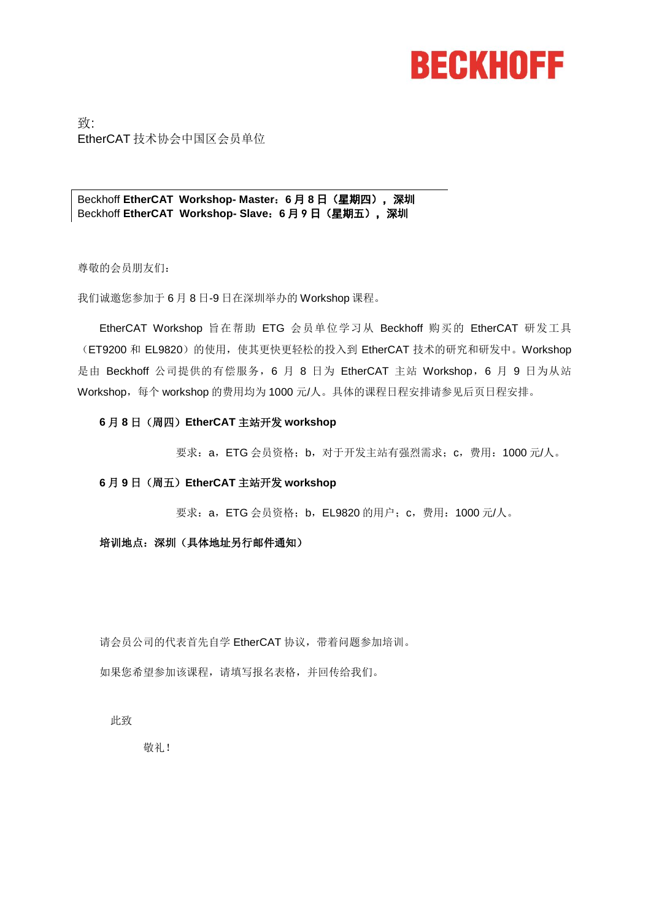# **BECKHOFF**

致: EtherCAT 技术协会中国区会员单位

Beckhoff **EtherCAT Workshop- Master**:**6** 月 **8** 日(星期四),深圳 Beckhoff **EtherCAT Workshop- Slave**:**6** 月 9 日(星期五),深圳

尊敬的会员朋友们:

我们诚邀您参加于 6 月 8 日-9 日在深圳举办的 Workshop 课程。

EtherCAT Workshop 旨在帮助 ETG 会员单位学习从 Beckhoff 购买的 EtherCAT 研发工具 (ET9200 和 EL9820) 的使用, 使其更快更轻松的投入到 EtherCAT 技术的研究和研发中。Workshop 是由 Beckhoff 公司提供的有偿服务, 6 月 8 日为 EtherCAT 主站 Workshop, 6 月 9 日为从站 Workshop,每个 workshop 的费用均为 1000 元/人。具体的课程日程安排请参见后页日程安排。

#### **6** 月 **8** 日(周四)**EtherCAT** 主站开发 **workshop**

要求:a,ETG 会员资格;b,对于开发主站有强烈需求;c,费用:1000 元/人。

#### **6** 月 **9** 日(周五)**EtherCAT** 主站开发 **workshop**

要求:a,ETG 会员资格;b,EL9820 的用户;c,费用:1000 元/人。

#### 培训地点:深圳(具体地址另行邮件通知)

请会员公司的代表首先自学 EtherCAT 协议,带着问题参加培训。

如果您希望参加该课程,请填写报名表格,并回传给我们。

此致

敬礼!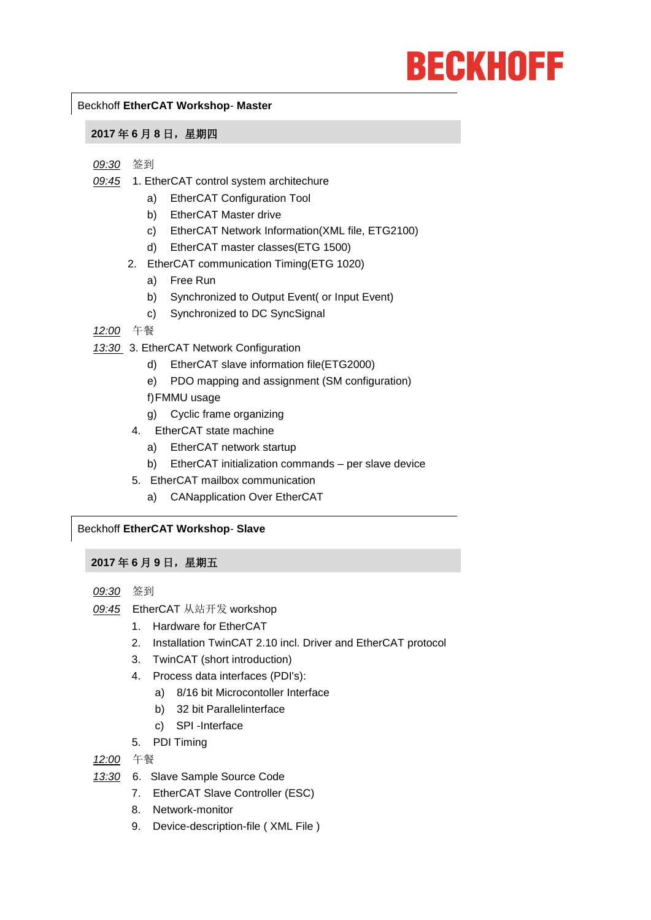# **BECKHOFF**

#### Beckhoff **EtherCAT Workshop**- **Master**

#### **2017** 年 **6** 月 **8** 日,星期四

#### *09:30* 签到

- *09:45* 1. EtherCAT control system architechure
	- a) EtherCAT Configuration Tool
	- b) EtherCAT Master drive
	- c) EtherCAT Network Information(XML file, ETG2100)
	- d) EtherCAT master classes(ETG 1500)
	- 2. EtherCAT communication Timing(ETG 1020)
		- a) Free Run
		- b) Synchronized to Output Event( or Input Event)
		- c) Synchronized to DC SyncSignal
- *12:00* 午餐
- *13:30* 3. EtherCAT Network Configuration
	- d) EtherCAT slave information file(ETG2000)
	- e) PDO mapping and assignment (SM configuration)
	- f)FMMU usage
	- g) Cyclic frame organizing
	- 4. EtherCAT state machine
		- a) EtherCAT network startup
		- b) EtherCAT initialization commands per slave device
	- 5. EtherCAT mailbox communication
		- a) CANapplication Over EtherCAT

## Beckhoff **EtherCAT Workshop**- **Slave**

## **2017** 年 **6** 月 **9** 日,星期五

- *09:30* 签到
- *09:45* EtherCAT 从站开发 workshop
	- 1. Hardware for EtherCAT
	- 2. Installation TwinCAT 2.10 incl. Driver and EtherCAT protocol
	- 3. TwinCAT (short introduction)
	- 4. Process data interfaces (PDI's):
		- a) 8/16 bit Microcontoller Interface
		- b) 32 bit Parallelinterface
		- c) SPI -Interface
	- 5. PDI Timing

*12:00* 午餐

- *13:30* 6. Slave Sample Source Code
	- 7. EtherCAT Slave Controller (ESC)
	- 8. Network-monitor
	- 9. Device-description-file ( XML File )